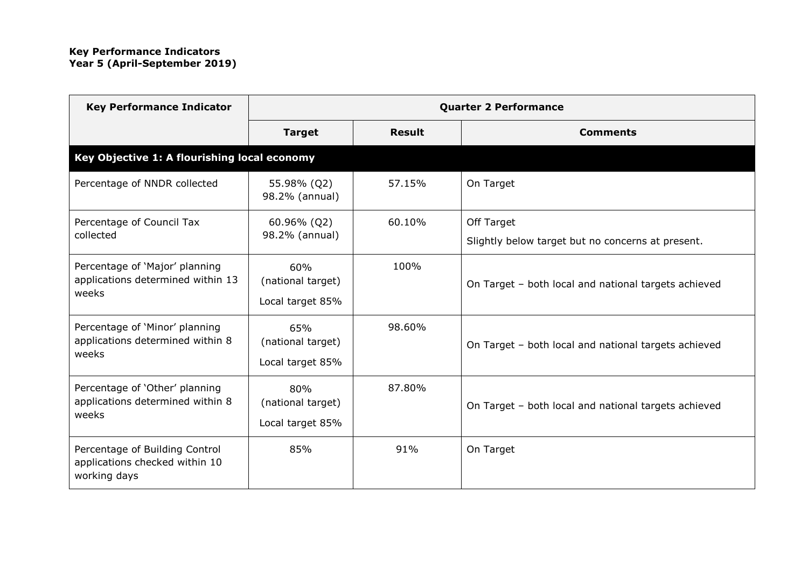| <b>Key Performance Indicator</b>                                                 | <b>Quarter 2 Performance</b>                 |               |                                                      |  |
|----------------------------------------------------------------------------------|----------------------------------------------|---------------|------------------------------------------------------|--|
|                                                                                  | <b>Target</b>                                | <b>Result</b> | <b>Comments</b>                                      |  |
| Key Objective 1: A flourishing local economy                                     |                                              |               |                                                      |  |
| Percentage of NNDR collected                                                     | 55.98% (Q2)<br>98.2% (annual)                | 57.15%        | On Target                                            |  |
| Percentage of Council Tax                                                        | 60.96% (Q2)<br>98.2% (annual)                | 60.10%        | Off Target                                           |  |
| collected                                                                        |                                              |               | Slightly below target but no concerns at present.    |  |
| Percentage of 'Major' planning<br>applications determined within 13<br>weeks     | 60%<br>(national target)<br>Local target 85% | 100%          | On Target - both local and national targets achieved |  |
| Percentage of 'Minor' planning<br>applications determined within 8<br>weeks      | 65%<br>(national target)<br>Local target 85% | 98.60%        | On Target - both local and national targets achieved |  |
| Percentage of 'Other' planning<br>applications determined within 8<br>weeks      | 80%<br>(national target)<br>Local target 85% | 87.80%        | On Target - both local and national targets achieved |  |
| Percentage of Building Control<br>applications checked within 10<br>working days | 85%                                          | 91%           | On Target                                            |  |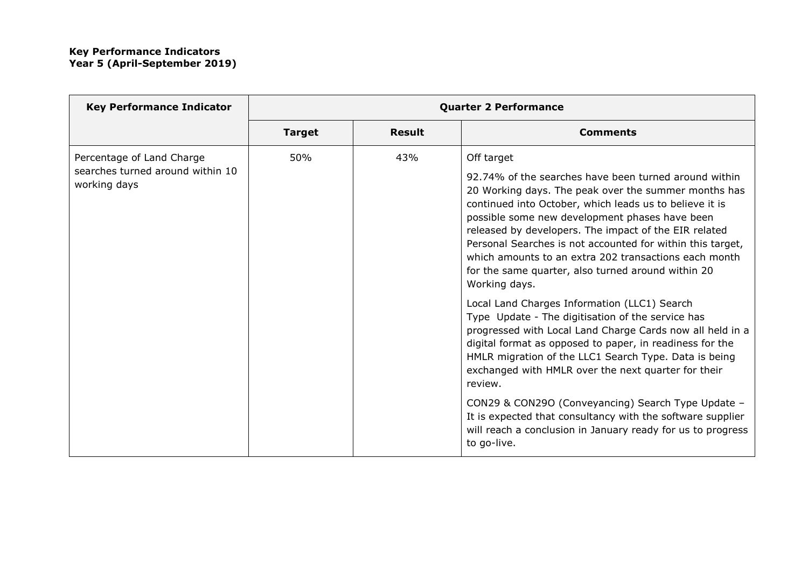| <b>Key Performance Indicator</b>                                              | <b>Quarter 2 Performance</b> |               |                                                                                                                                                                                                                                                                                                                                                                                                                                                                                                 |
|-------------------------------------------------------------------------------|------------------------------|---------------|-------------------------------------------------------------------------------------------------------------------------------------------------------------------------------------------------------------------------------------------------------------------------------------------------------------------------------------------------------------------------------------------------------------------------------------------------------------------------------------------------|
|                                                                               | <b>Target</b>                | <b>Result</b> | <b>Comments</b>                                                                                                                                                                                                                                                                                                                                                                                                                                                                                 |
| Percentage of Land Charge<br>searches turned around within 10<br>working days | 50%                          | 43%           | Off target<br>92.74% of the searches have been turned around within<br>20 Working days. The peak over the summer months has<br>continued into October, which leads us to believe it is<br>possible some new development phases have been<br>released by developers. The impact of the EIR related<br>Personal Searches is not accounted for within this target,<br>which amounts to an extra 202 transactions each month<br>for the same quarter, also turned around within 20<br>Working days. |
|                                                                               |                              |               | Local Land Charges Information (LLC1) Search<br>Type Update - The digitisation of the service has<br>progressed with Local Land Charge Cards now all held in a<br>digital format as opposed to paper, in readiness for the<br>HMLR migration of the LLC1 Search Type. Data is being<br>exchanged with HMLR over the next quarter for their<br>review.<br>CON29 & CON29O (Conveyancing) Search Type Update -                                                                                     |
|                                                                               |                              |               | It is expected that consultancy with the software supplier<br>will reach a conclusion in January ready for us to progress<br>to go-live.                                                                                                                                                                                                                                                                                                                                                        |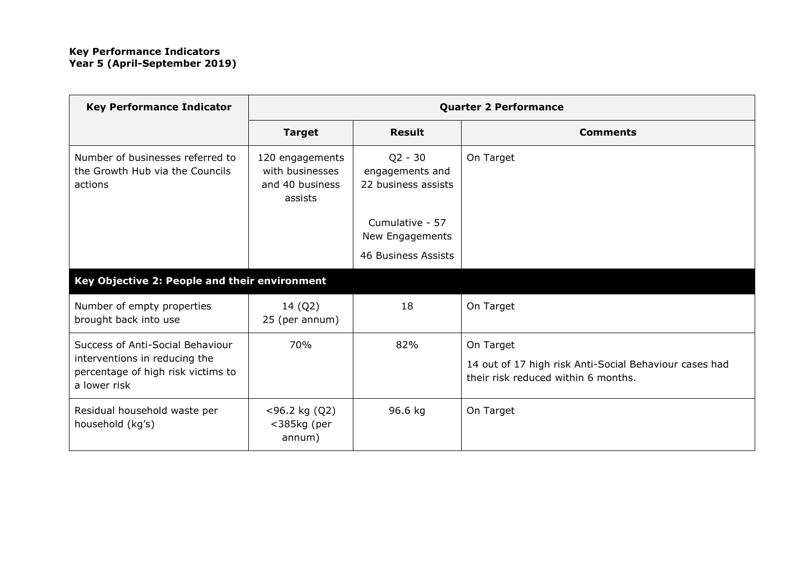| <b>Key Performance Indicator</b>                                                    | <b>Quarter 2 Performance</b>                                     |                                                     |                                                                                               |
|-------------------------------------------------------------------------------------|------------------------------------------------------------------|-----------------------------------------------------|-----------------------------------------------------------------------------------------------|
|                                                                                     | <b>Target</b>                                                    | <b>Result</b>                                       | <b>Comments</b>                                                                               |
| Number of businesses referred to<br>the Growth Hub via the Councils<br>actions      | 120 engagements<br>with businesses<br>and 40 business<br>assists | $Q2 - 30$<br>engagements and<br>22 business assists | On Target                                                                                     |
|                                                                                     |                                                                  | Cumulative - 57<br>New Engagements                  |                                                                                               |
|                                                                                     |                                                                  | 46 Business Assists                                 |                                                                                               |
| Key Objective 2: People and their environment                                       |                                                                  |                                                     |                                                                                               |
| Number of empty properties<br>brought back into use                                 | 14 (Q2)<br>25 (per annum)                                        | 18                                                  | On Target                                                                                     |
| Success of Anti-Social Behaviour                                                    | 70%                                                              | 82%                                                 | On Target                                                                                     |
| interventions in reducing the<br>percentage of high risk victims to<br>a lower risk |                                                                  |                                                     | 14 out of 17 high risk Anti-Social Behaviour cases had<br>their risk reduced within 6 months. |
| Residual household waste per<br>household (kg's)                                    | $<$ 96.2 kg (Q2)<br><385kg (per<br>annum)                        | 96.6 kg                                             | On Target                                                                                     |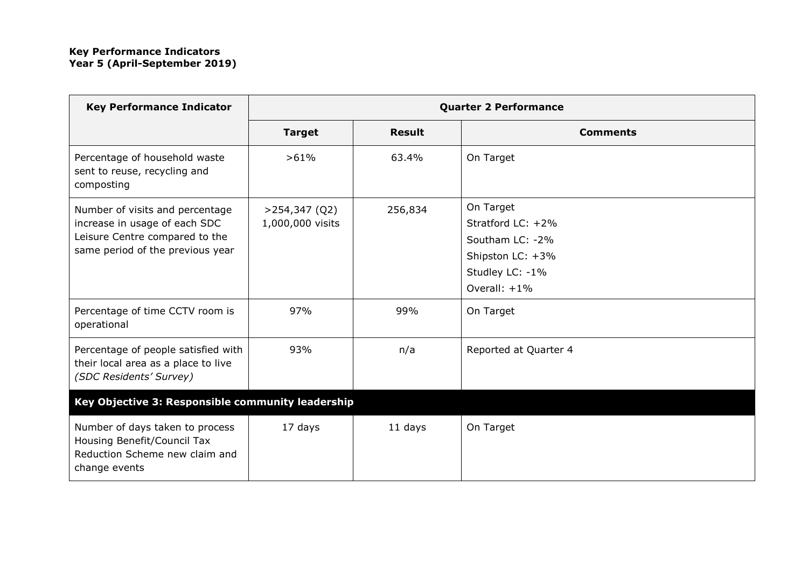| <b>Key Performance Indicator</b>                                                                                                       | <b>Quarter 2 Performance</b>         |               |                                                                                                             |  |
|----------------------------------------------------------------------------------------------------------------------------------------|--------------------------------------|---------------|-------------------------------------------------------------------------------------------------------------|--|
|                                                                                                                                        | <b>Target</b>                        | <b>Result</b> | <b>Comments</b>                                                                                             |  |
| Percentage of household waste<br>sent to reuse, recycling and<br>composting                                                            | >61%                                 | 63.4%         | On Target                                                                                                   |  |
| Number of visits and percentage<br>increase in usage of each SDC<br>Leisure Centre compared to the<br>same period of the previous year | $>$ 254,347 (Q2)<br>1,000,000 visits | 256,834       | On Target<br>Stratford LC: +2%<br>Southam LC: -2%<br>Shipston LC: +3%<br>Studley LC: -1%<br>Overall: $+1\%$ |  |
| Percentage of time CCTV room is<br>operational                                                                                         | 97%                                  | 99%           | On Target                                                                                                   |  |
| Percentage of people satisfied with<br>their local area as a place to live<br>(SDC Residents' Survey)                                  | 93%                                  | n/a           | Reported at Quarter 4                                                                                       |  |
| Key Objective 3: Responsible community leadership                                                                                      |                                      |               |                                                                                                             |  |
| Number of days taken to process<br>Housing Benefit/Council Tax<br>Reduction Scheme new claim and<br>change events                      | 17 days                              | 11 days       | On Target                                                                                                   |  |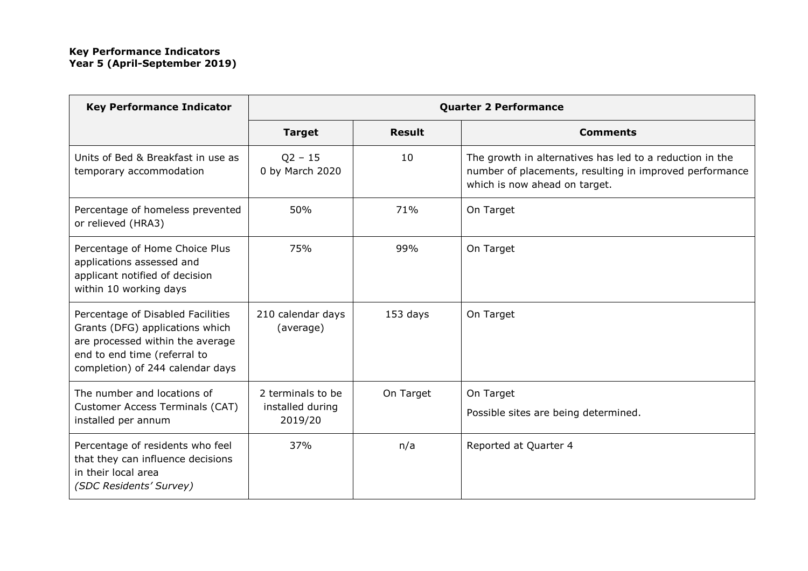| <b>Key Performance Indicator</b>                                                                                                                                             | <b>Quarter 2 Performance</b>                     |               |                                                                                                                                                      |
|------------------------------------------------------------------------------------------------------------------------------------------------------------------------------|--------------------------------------------------|---------------|------------------------------------------------------------------------------------------------------------------------------------------------------|
|                                                                                                                                                                              | <b>Target</b>                                    | <b>Result</b> | <b>Comments</b>                                                                                                                                      |
| Units of Bed & Breakfast in use as<br>temporary accommodation                                                                                                                | $Q2 - 15$<br>0 by March 2020                     | 10            | The growth in alternatives has led to a reduction in the<br>number of placements, resulting in improved performance<br>which is now ahead on target. |
| Percentage of homeless prevented<br>or relieved (HRA3)                                                                                                                       | 50%                                              | 71%           | On Target                                                                                                                                            |
| Percentage of Home Choice Plus<br>applications assessed and<br>applicant notified of decision<br>within 10 working days                                                      | 75%                                              | 99%           | On Target                                                                                                                                            |
| Percentage of Disabled Facilities<br>Grants (DFG) applications which<br>are processed within the average<br>end to end time (referral to<br>completion) of 244 calendar days | 210 calendar days<br>(average)                   | 153 days      | On Target                                                                                                                                            |
| The number and locations of<br>Customer Access Terminals (CAT)<br>installed per annum                                                                                        | 2 terminals to be<br>installed during<br>2019/20 | On Target     | On Target<br>Possible sites are being determined.                                                                                                    |
| Percentage of residents who feel<br>that they can influence decisions<br>in their local area<br>(SDC Residents' Survey)                                                      | 37%                                              | n/a           | Reported at Quarter 4                                                                                                                                |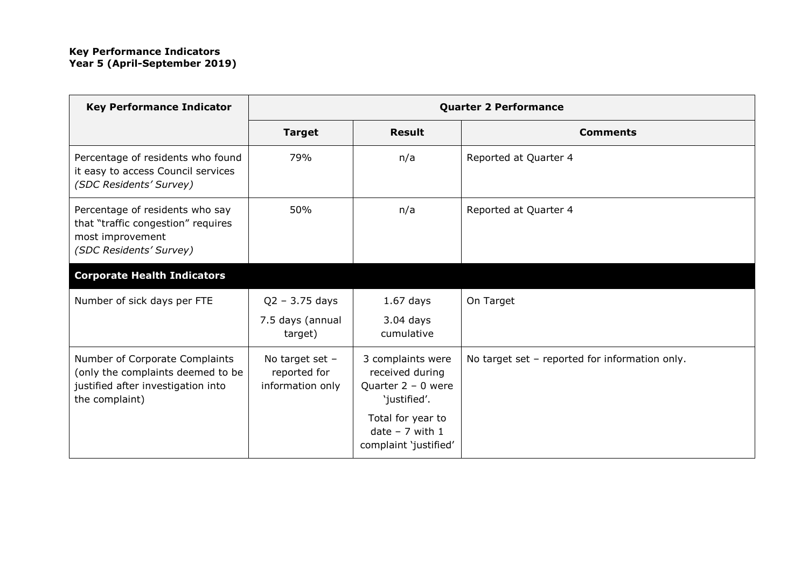| <b>Key Performance Indicator</b>                                                                                            | <b>Quarter 2 Performance</b>                          |                                                                              |                                                |
|-----------------------------------------------------------------------------------------------------------------------------|-------------------------------------------------------|------------------------------------------------------------------------------|------------------------------------------------|
|                                                                                                                             | <b>Target</b>                                         | <b>Result</b>                                                                | <b>Comments</b>                                |
| Percentage of residents who found<br>it easy to access Council services<br>(SDC Residents' Survey)                          | 79%                                                   | n/a                                                                          | Reported at Quarter 4                          |
| Percentage of residents who say<br>that "traffic congestion" requires<br>most improvement<br>(SDC Residents' Survey)        | 50%                                                   | n/a                                                                          | Reported at Quarter 4                          |
| <b>Corporate Health Indicators</b>                                                                                          |                                                       |                                                                              |                                                |
| Number of sick days per FTE                                                                                                 | $Q2 - 3.75$ days                                      | $1.67$ days                                                                  | On Target                                      |
|                                                                                                                             | 7.5 days (annual<br>target)                           | $3.04$ days<br>cumulative                                                    |                                                |
| Number of Corporate Complaints<br>(only the complaints deemed to be<br>justified after investigation into<br>the complaint) | No target set $-$<br>reported for<br>information only | 3 complaints were<br>received during<br>Quarter $2 - 0$ were<br>'justified'. | No target set - reported for information only. |
|                                                                                                                             |                                                       | Total for year to<br>$date - 7 with 1$<br>complaint 'justified'              |                                                |